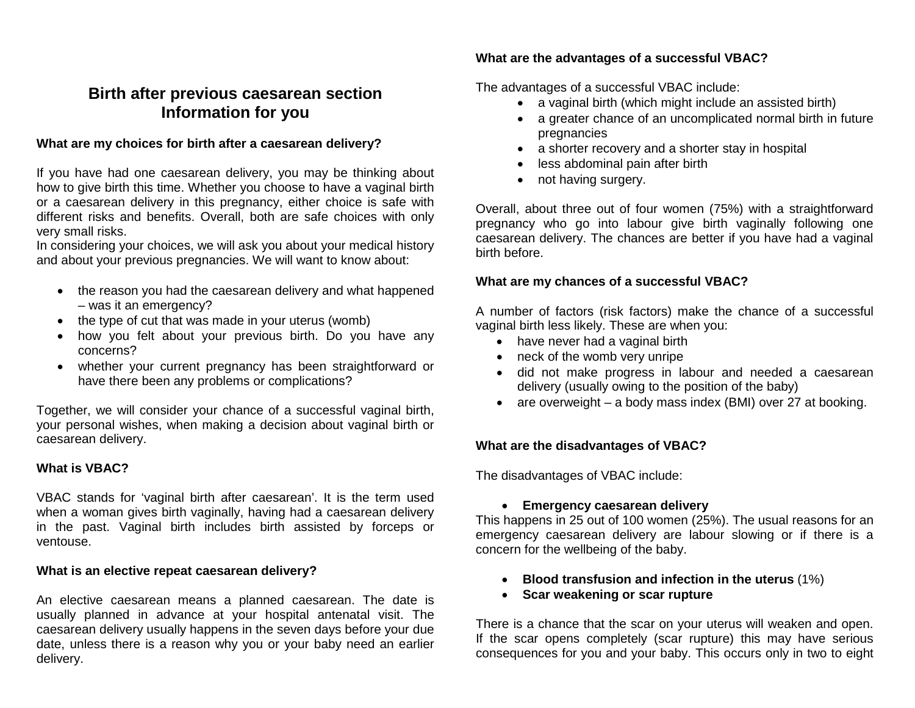# **Birth after previous caesarean section Information for you**

### **What are my choices for birth after a caesarean delivery?**

If you have had one caesarean delivery, you may be thinking about how to give birth this time. Whether you choose to have a vaginal birth or a caesarean delivery in this pregnancy, either choice is safe with different risks and benefits. Overall, both are safe choices with only very small risks.

In considering your choices, we will ask you about your medical history and about your previous pregnancies. We will want to know about:

- the reason you had the caesarean delivery and what happened – was it an emergency?
- the type of cut that was made in your uterus (womb)
- how you felt about your previous birth. Do you have any concerns?
- whether your current pregnancy has been straightforward or have there been any problems or complications?

Together, we will consider your chance of a successful vaginal birth, your personal wishes, when making a decision about vaginal birth or caesarean delivery.

## **What is VBAC?**

VBAC stands for 'vaginal birth after caesarean'. It is the term used when a woman gives birth vaginally, having had a caesarean delivery in the past. Vaginal birth includes birth assisted by forceps or ventouse.

#### **What is an elective repeat caesarean delivery?**

An elective caesarean means a planned caesarean. The date is usually planned in advance at your hospital antenatal visit. The caesarean delivery usually happens in the seven days before your due date, unless there is a reason why you or your baby need an earlier delivery.

# **What are the advantages of a successful VBAC?**

The advantages of a successful VBAC include:

- a vaginal birth (which might include an assisted birth)
- a greater chance of an uncomplicated normal birth in future pregnancies
- a shorter recovery and a shorter stay in hospital
- less abdominal pain after birth
- not having surgery.

Overall, about three out of four women (75%) with a straightforward pregnancy who go into labour give birth vaginally following one caesarean delivery. The chances are better if you have had a vaginal birth before.

# **What are my chances of a successful VBAC?**

A number of factors (risk factors) make the chance of a successful vaginal birth less likely. These are when you:

- have never had a vaginal birth
- neck of the womb very unripe
- did not make progress in labour and needed a caesarean delivery (usually owing to the position of the baby)
- are overweight a body mass index (BMI) over 27 at booking.

## **What are the disadvantages of VBAC?**

The disadvantages of VBAC include:

## • **Emergency caesarean delivery**

This happens in 25 out of 100 women (25%). The usual reasons for an emergency caesarean delivery are labour slowing or if there is a concern for the wellbeing of the baby.

- **Blood transfusion and infection in the uterus** (1%)
- **Scar weakening or scar rupture**

There is a chance that the scar on your uterus will weaken and open. If the scar opens completely (scar rupture) this may have serious consequences for you and your baby. This occurs only in two to eight